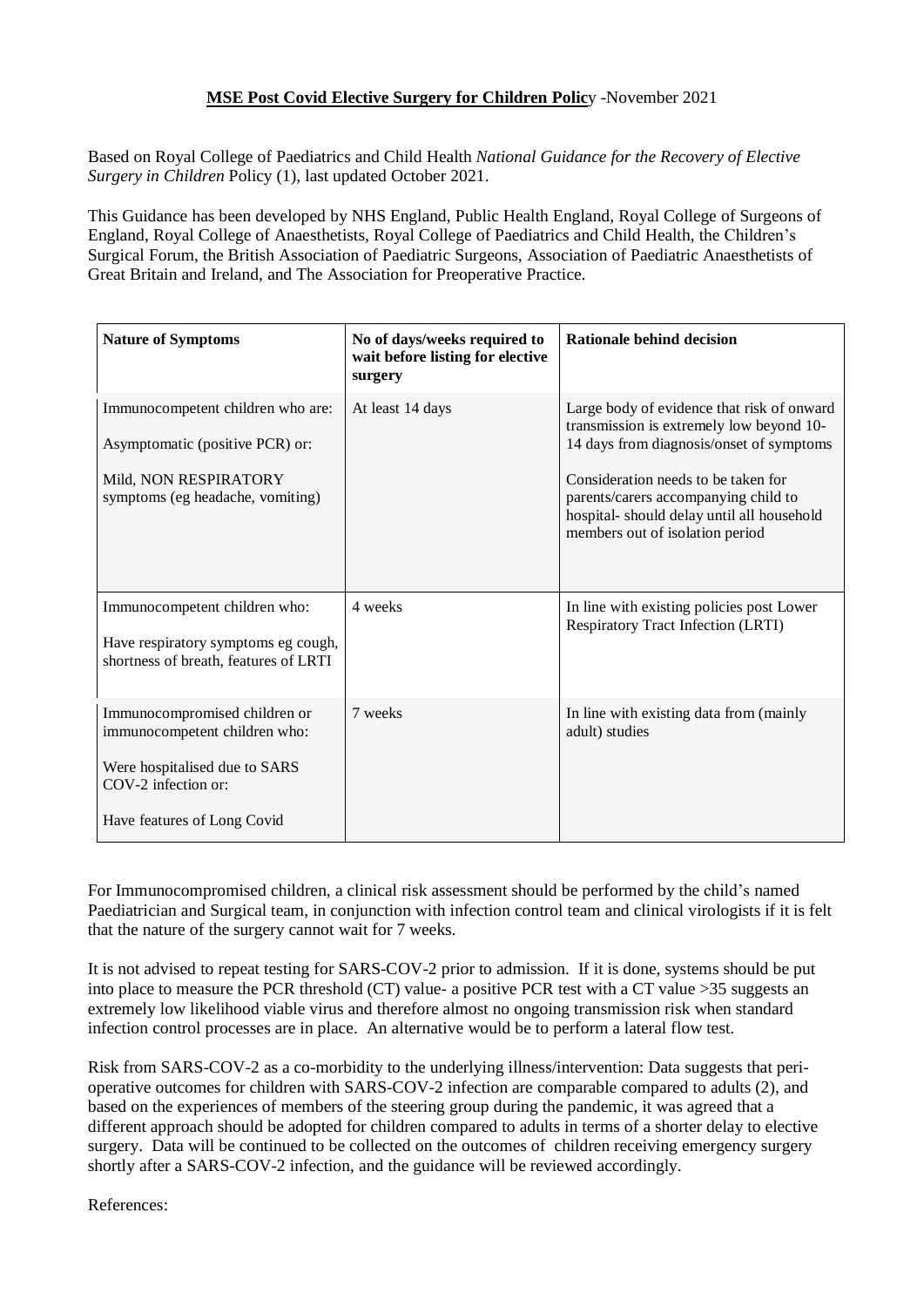## **MSE Post Covid Elective Surgery for Children Polic**y -November 2021

Based on Royal College of Paediatrics and Child Health *National Guidance for the Recovery of Elective Surgery in Children* Policy (1), last updated October 2021.

This Guidance has been developed by NHS England, Public Health England, Royal College of Surgeons of England, Royal College of Anaesthetists, Royal College of Paediatrics and Child Health, the Children's Surgical Forum, the British Association of Paediatric Surgeons, Association of Paediatric Anaesthetists of Great Britain and Ireland, and The Association for Preoperative Practice.

| <b>Nature of Symptoms</b>                                                                                                                             | No of days/weeks required to<br>wait before listing for elective<br>surgery | Rationale behind decision                                                                                                                                                                                                                                                                         |
|-------------------------------------------------------------------------------------------------------------------------------------------------------|-----------------------------------------------------------------------------|---------------------------------------------------------------------------------------------------------------------------------------------------------------------------------------------------------------------------------------------------------------------------------------------------|
| Immunocompetent children who are:<br>Asymptomatic (positive PCR) or:<br>Mild, NON RESPIRATORY<br>symptoms (eg headache, vomiting)                     | At least 14 days                                                            | Large body of evidence that risk of onward<br>transmission is extremely low beyond 10-<br>14 days from diagnosis/onset of symptoms<br>Consideration needs to be taken for<br>parents/carers accompanying child to<br>hospital-should delay until all household<br>members out of isolation period |
| Immunocompetent children who:<br>Have respiratory symptoms eg cough,<br>shortness of breath, features of LRTI                                         | 4 weeks                                                                     | In line with existing policies post Lower<br><b>Respiratory Tract Infection (LRTI)</b>                                                                                                                                                                                                            |
| Immunocompromised children or<br>immunocompetent children who:<br>Were hospitalised due to SARS<br>COV-2 infection or:<br>Have features of Long Covid | 7 weeks                                                                     | In line with existing data from (mainly<br>adult) studies                                                                                                                                                                                                                                         |

For Immunocompromised children, a clinical risk assessment should be performed by the child's named Paediatrician and Surgical team, in conjunction with infection control team and clinical virologists if it is felt that the nature of the surgery cannot wait for 7 weeks.

It is not advised to repeat testing for SARS-COV-2 prior to admission. If it is done, systems should be put into place to measure the PCR threshold (CT) value- a positive PCR test with a CT value >35 suggests an extremely low likelihood viable virus and therefore almost no ongoing transmission risk when standard infection control processes are in place. An alternative would be to perform a lateral flow test.

Risk from SARS-COV-2 as a co-morbidity to the underlying illness/intervention: Data suggests that perioperative outcomes for children with SARS-COV-2 infection are comparable compared to adults (2), and based on the experiences of members of the steering group during the pandemic, it was agreed that a different approach should be adopted for children compared to adults in terms of a shorter delay to elective surgery. Data will be continued to be collected on the outcomes of children receiving emergency surgery shortly after a SARS-COV-2 infection, and the guidance will be reviewed accordingly.

References: